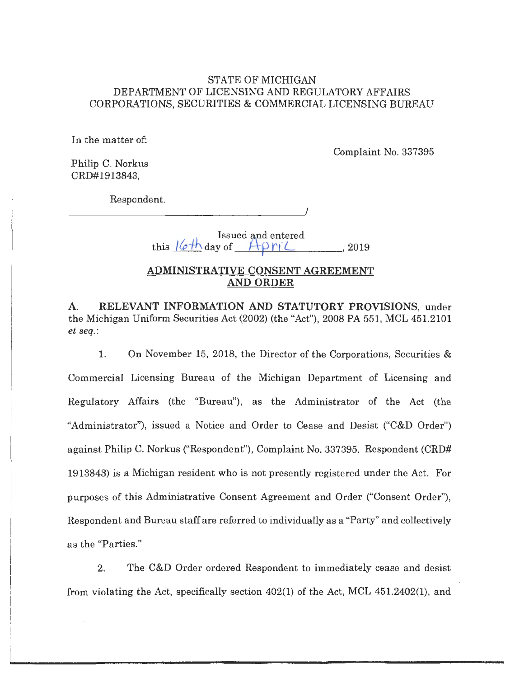#### STATE OF MICHIGAN DEPARTMENT OF LICENSING AND REGULATORY AFFAIRS CORPORATIONS, SECURITIES & COMMERCIAL LICENSING BUREAU

In the matter of:

Complaint No. 337395

Philip C. Norkus CRD#l913843,

Respondent.

------------------~/

Issued and entered this  $16$ <sup>th</sup> day of  $-A$ *p* r( $\angle$  \_ , 2019

#### **ADMINISTRATIVE CONSENT AGREEMENT AND ORDER**

**A. RELEVANT INFORMATION AND STATUTORY PROVISIONS,** under the Michigan Uniform Securities Act (2002) (the "Act"), 2008 PA 551, MCL 451.2101 *et seq.:* 

1. On November 15, 2018, the Director of the Corporations, Securities & Commercial Licensing Bureau of the Michigan Department of Licensing and Regulatory Affairs (the "Bureau"), as the Administrator of the Act (the "Administrator"), issued a Notice and Order to Cease and Desist ("C&D Order") against Philip C. Norkus ("Respondent"), Complaint No. 337395. Respondent (CRD# 1913843) is a Michigan resident who is not presently registered under the Act. For purposes of this Administrative Consent Agreement and Order ("Consent Order"), Respondent and Bureau staff are referred to individually as a "Party" and collectively as the "Parties."

2. The C&D Order ordered Respondent to immediately cease and desist from violating the Act, specifically section 402(1) of the Act, MCL 451.2402(1), and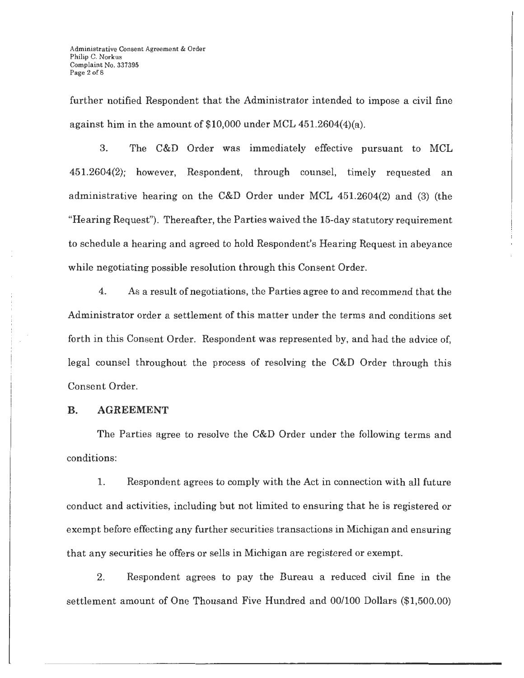further notified Respondent that the Administrator intended to impose a civil fine against him in the amount of \$10,000 under MCL 451.2604(4)(a).

3. The C&D Order was immediately effective pursuant to MCL 451.2604(2); however, Respondent, through counsel, timely requested an administrative hearing on the C&D Order under MCL 451.2604(2) and (3) (the "Hearing Request"). Thereafter, the Parties waived the 15-day statutory requirement to schedule a hearing and agreed to hold Respondent's Hearing Request in abeyance while negotiating possible resolution through this Consent Order.

4. As a result of negotiations, the Parties agree to and recommend that the Administrator order a settlement of this matter under the terms and conditions set forth in this Consent Order. Respondent was represented by, and had the advice of, legal counsel throughout the process of resolving the C&D Order through this Consent Order.

#### **B. AGREEMENT**

The Parties agree to resolve the C&D Order under the following terms and conditions:

L Respondent agrees to comply with the Act in connection with all future conduct and activities, including but not limited to ensuring that he is registered or exempt before effecting any further securities transactions in Michigan and ensuring that any securities he offers or sells in Michigan are registered or exempt.

2. Respondent agrees to pay the Bureau a reduced civil fine in the settlement amount of One Thousand Five Hundred and 00/100 Dollars (\$1,500.00)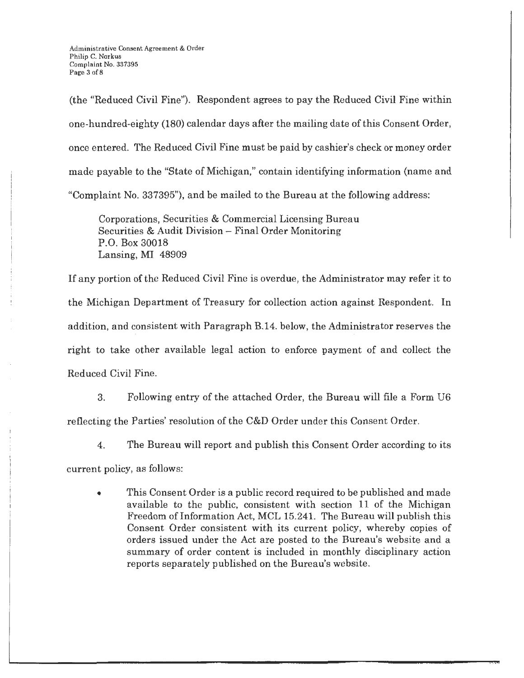(the "Reduced Civil Fine"). Respondent agrees to pay the Reduced Civil Fine within one-hundred-eighty (180) calendar days after the mailing date of this Consent Order, once entered. The Reduced Civil Fine must be paid by cashier's check or money order made payable to the "State of Michigan," contain identifying information (name and "Complaint No. 337395"), and be mailed to the Bureau at the following address:

Corporations, Securities & Commercial Licensing Bureau Securities & Audit Division - Final Order Monitoring P.O. Box 30018 Lansing, MI 48909

If any portion of the Reduced Civil Fine is overdue, the Administrator may refer it to the Michigan Department of Treasury for collection action against Respondent. In addition, and consistent with Paragraph B.14. below, the Administrator reserves the right to take other available legal action to enforce payment of and collect the Reduced Civil Fine.

3. Following entry of the attached Order, the Bureau will file a Form U6 reflecting the Parties' resolution of the C&D Order under this Consent Order.

4. The Bureau will report and publish this Consent Order according to its

current policy, as follows:

• This Consent Order is a public record required to be published and made available to the public, consistent with section 11 of the Michigan Freedom of Information Act, MCL 15.241. The Bureau will publish this Consent Order consistent with its current policy, whereby copies of orders issued under the Act are posted to the Bureau's website and a summary of order content is included in monthly disciplinary action reports separately published on the Bureau's website.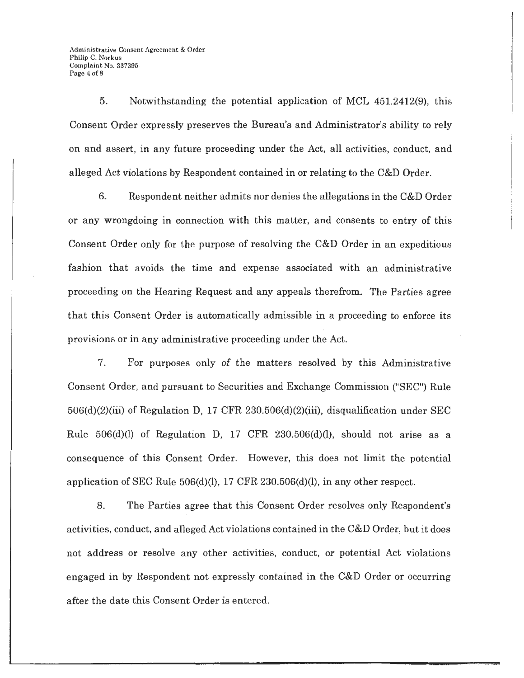Administrative Consent Agreement & Order Philip C. Norkus Complaint No. 337395 . Page 4 of 8

5. Notwithstanding the potential application of MCL 451.2412(9), this Consent Order expressly preserves the Bureau's and Administrator's ability to rely on and assert, in any future proceeding under the Act, all activities, conduct, and alleged Act violations by Respondent contained in or relating to the C&D Order.

6. Respondent neither admits nor denies the allegations in the C&D Order or any wrongdoing in connection with this matter, and consents to entry of this Consent Order only for the purpose of resolving the C&D Order in an expeditious fashion that avoids the time and expense associated with an administrative proceeding on the Hearing Request and any appeals therefrom. The Parties agree that this Consent Order is automatically admissible in a proceeding to enforce its provisions or in any administrative proceeding under the Act.

7. For purposes only of the matters resolved by this Administrative Consent Order, and pursuant to Securities and Exchange Commission ("SEC") Rule 506(d)(2)(iii) of Regulation D, 17 CFR 230.506(d)(2)(iii), disqualification under SEC Rule  $506(d)(l)$  of Regulation D, 17 CFR  $230.506(d)(l)$ , should not arise as a consequence of this Consent Order. However, this does not limit the potential application of SEC Rule  $506(d)(l)$ , 17 CFR 230.506(d)(l), in any other respect.

8. The Parties agree that this Consent Order resolves only Respondent's activities, conduct, and alleged Act violations contained in the C&D Order, but it does not address or resolve any other activities, conduct, or potential Act violations engaged in by Respondent not expressly contained in the C&D Order or occurring after the date this Consent Order is entered.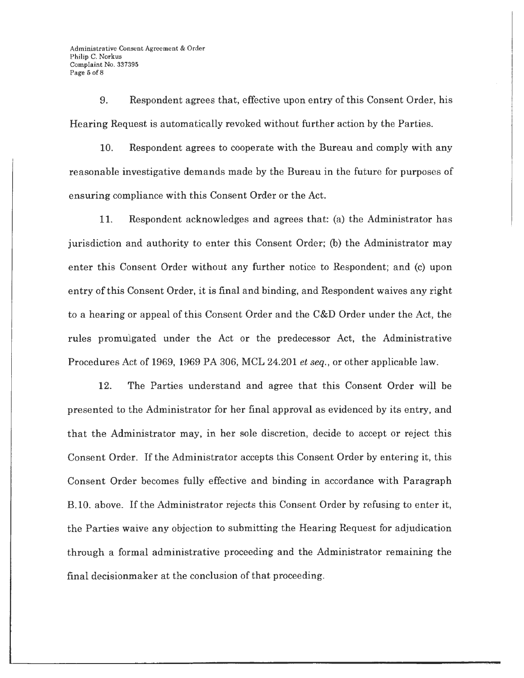9. Respondent agrees that, effective upon entry of this Consent Order, his Hearing Request is automatically revoked without further action by the Parties.

10. Respondent agrees to cooperate with the Bureau and comply with any reasonable investigative demands made by the Bureau in the future for purposes of ensuring compliance with this Consent Order or the Act.

11. Respondent acknowledges and agrees that: (a) the Administrator has jurisdiction and authority to enter this Consent Order; (b) the Administrator may enter this Consent Order without any further notice to Respondent; and (c) upon entry of this Consent Order, it is final and binding, and Respondent waives any right to a hearing or appeal of this Consent Order and the C&D Order under the Act, the rules promulgated under the Act or the predecessor Act, the Administrative Procedures Act of 1969, 1969 PA 306, MCL 24.201 *et seq.,* or other applicable law.

12. The Parties understand and agree that this Consent Order will be presented to the Administrator for her final approval as evidenced by its entry, and that the Administrator may, in her sole discretion, decide to accept or reject this Consent Order. If the Administrator accepts this Consent Order by entering it, this Consent Order becomes fully effective and binding in accordance with Paragraph B. 10. above. If the Administrator rejects this Consent Order by refusing to enter it, the Parties waive any objection to submitting the Hearing Request for adjudication through a formal administrative proceeding and the Administrator remaining the final decisionmaker at the conclusion of that proceeding.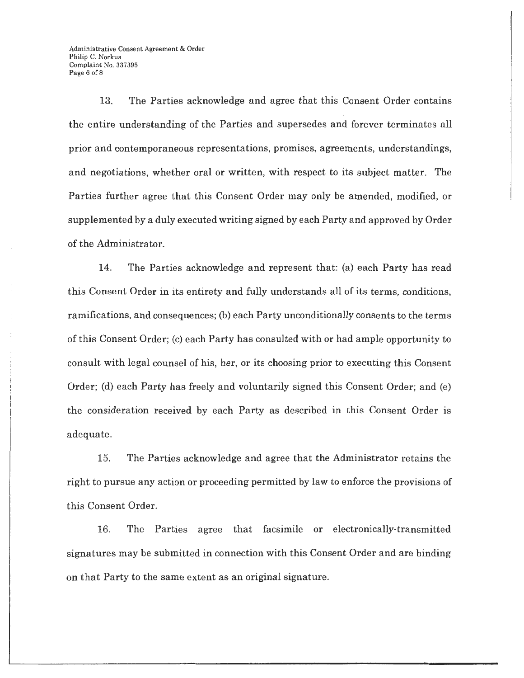Administrative Consent Agreement & Order Philip C. Norkus Complaint No. 337395 Page 6 of 8

13. The Parties acknowledge and agree that this Consent Order contains the entire understanding of the Parties and supersedes and forever terminates all prior and contemporaneous representations, promises, agreements, understandings, and negotiations, whether oral or written, with respect to its subject matter. The Parties further agree that this Consent Order may only be amended, modified, or supplemented by a duly executed writing signed by each Party and approved by Order of the Administrator.

14. The Parties acknowledge and represent that: (a) each Party has read this Consent Order in its entirety and fully understands all of its terms, conditions, ramifications, and consequences; (b) each Party unconditionally consents to the terms of this Consent Order; (c) each Party has consulted with or had ample opportunity to consult with legal counsel of his, her, or its choosing prior to executing this Consent Order; (d) each Party has freely and voluntarily signed this Consent Order; and (e) the consideration received by each Party as described in this Consent Order is adequate.

15. The Parties acknowledge and agree that the Administrator retains the right to pursue any action or proceeding permitted by law to enforce the provisions of this Consent Order.

16. The Parties agree that facsimile or electronically-transmitted signatures may be submitted in connection with this Consent Order and are binding on that Party to the same extent as an original signature.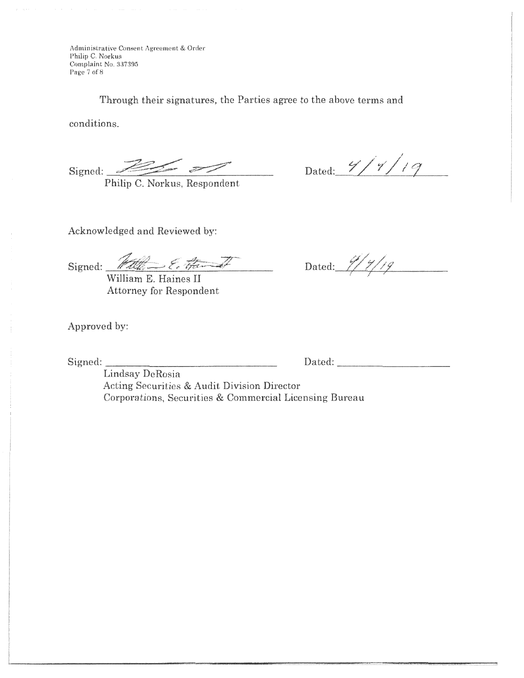Administrative Consent Agreement & Order Philip C. Norkus Complaint No. 337395 Page 7 of 8

Through their signatures, the Parties agree to the above terms and

conditions.

 $Signed: 22/$ 

Philip C. Norkus, Respondent

Dated:  $\frac{9}{1}$  /  $\frac{1}{9}$ 

Acknowledged and Reviewed by:

 $Signed:$   $Malk \rightarrow Zc$  from  $\rightarrow$  Dated:  $7/7/7/7$ 

William E. Haines II Attorney for Respondent

Approved by:

Signed: \_\_\_\_\_\_\_\_\_\_\_\_\_\_\_\_ Dated: \_\_\_\_\_\_\_\_\_\_ \_

Lindsay DeRosia Acting Securities & Audit Division Director Corporations, Securities & Commercial Licensing Bureau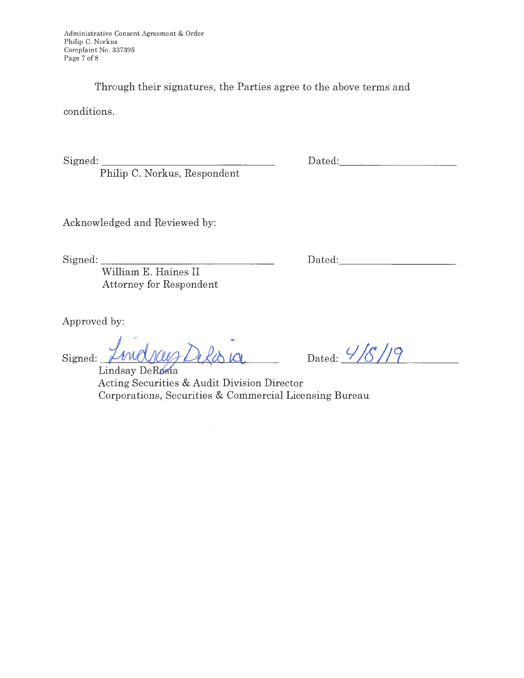Through their signatures, the Parties agree to the above terms and

conditions.

 $Sigma:$   $\Box$ 

**Philip** C. Norkus, Respondent

Dated: <u>Dated:</u>

Acknowledged and Reviewed by:

Signed: \_\_\_\_\_\_\_\_\_\_\_\_\_\_\_ \_

Dated: The contract of the contract of the contract of the contract of the contract of the contract of the contract of the contract of the contract of the contract of the contract of the contract of the contract of the con

William E. Haines II Attorney for Respondent

Approved by:

Lowe Signed: \_

Dated:  $\frac{4}{5}$  /**19** \_\_\_\_\_\_\_\_

Lindsay DeRosia Acting Securities & Audit Division Director Corporations, Securities & Commercial Licensing Bureau

 $\bar{z}$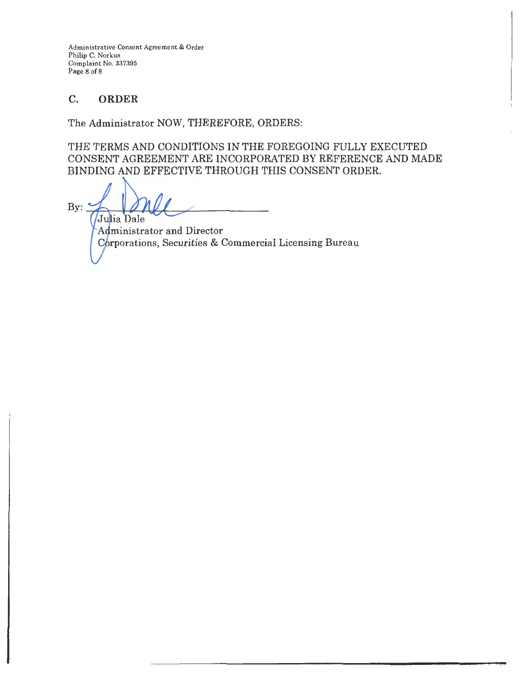Administrative Consent Agreement & Order Philip C. Norkus Complaint No. 337395 Page 8 of 8

## C. **ORDER**

The Administrator NOW, THEREFORE, ORDERS:

THE TERMS AND CONDITIONS IN THE FOREGOING FULLY EXECUTED CONSENT AGREEMENT ARE INCORPORATED BY REFERENCE AND MADE BINDING AND EFFECTIVE THROUGH THIS CONSENT ORDER.

 $By:$ Julia Dale Administrator and Director

Corporations, Securities & Commercial Licensing Bureau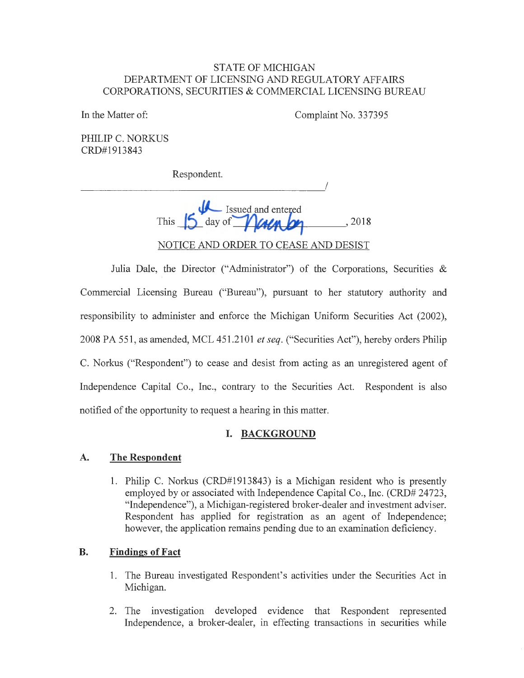#### STATE OF MICHIGAN DEPARTMENT OF LICENSING AND REGULATORY AFFAIRS CORPORATIONS, SECURITIES & COMMERCIAL LICENSING BUREAU

In the Matter of: Complaint No. 337395

PHILIP C. NORKUS CRD#1913843

Respondent.

 $\overline{\phantom{a}}$ 

|      | - Issued and entered |                                  |
|------|----------------------|----------------------------------|
| This | day of <i>Malmbe</i> | 2018                             |
|      |                      |                                  |
|      |                      | CE AND ORDER TO CEASE AND DESIST |

Julia Dale, the Director ("Administrator") of the Corporations, Securities & Commercial Licensing Bureau ("Bureau"), pursuant to her statutory authority and responsibility to administer and enforce the Michigan Uniform Securities Act (2002), 2008 PA 551, as amended, MCL 451.2101 *et seq.* ("Securities Act"), hereby orders Philip C. Norkus ("Respondent") to cease and desist from acting as an unregistered agent of Independence Capital Co., Inc., contrary to the Securities Act. Respondent is also notified of the opportunity to request a hearing in this matter.

# **I. BACKGROUND**

#### **A. The Respondent**

1. Philip C. Norkus (CRD#1913843) is a Michigan resident who is presently employed by or associated with Independence Capital Co., Inc. (CRD# 24723, "Independence"), a Michigan-registered broker-dealer and investment adviser. Respondent has applied for registration as an agent of Independence; however, the application remains pending due to an examination deficiency.

## **B. Findings of Fact**

- 1. The Bureau investigated Respondent's activities under the Securities Act in Michigan.
- 2. The investigation developed evidence that Respondent represented Independence, a broker-dealer, in effecting transactions in securities while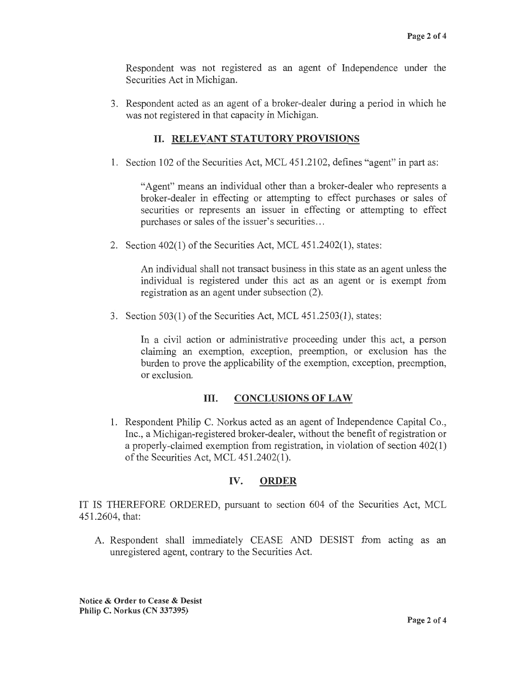Respondent was not registered as an agent of Independence under the Securities Act in Michigan.

3. Respondent acted as an agent of a broker-dealer during a period in which he was not registered in that capacity in Michigan.

# II. **RELEVANT STATUTORY PROVISIONS**

1. Section 102 of the Securities Act, MCL 451.2102, defines "agent" in part as:

"Agent" means an individual other than a broker-dealer who represents a broker-dealer in effecting or attempting to effect purchases or sales of securities or represents an issuer in effecting or attempting to effect purchases or sales of the issuer's securities...

2. Section 402(1) of the Securities Act, MCL 451.2402(1), states:

An individual shall not transact business in this state as an agent unless the individual is registered under this act as an agent or is exempt from registration as an agent under subsection (2).

3. Section 503(1) of the Securities Act, MCL 451.2503(1), states:

In a civil action or administrative proceeding under this act, a person claiming an exemption, exception, preemption, or exclusion has the burden to prove the applicability of the exemption, exception, preemption, or exclusion.

## III. **CONCLUSIONS OF LAW**

1. Respondent Philip C. Norkus acted as an agent of Independence Capital Co., Inc., a Michigan-registered broker-dealer, without the benefit of registration or a properly-claimed exemption from registration, in violation of section 402(1) of the Securities Act, MCL 451.2402(1).

## **IV. ORDER**

IT IS THEREFORE ORDERED, pursuant to section 604 of the Securities Act, MCL 451.2604, that:

A. Respondent shall immediately CEASE AND DESIST from acting as an unregistered agent, contrary to the Securities Act.

**Notice** & **Order to Cease** & **Desist Philip C. Norkus (CN 337395)**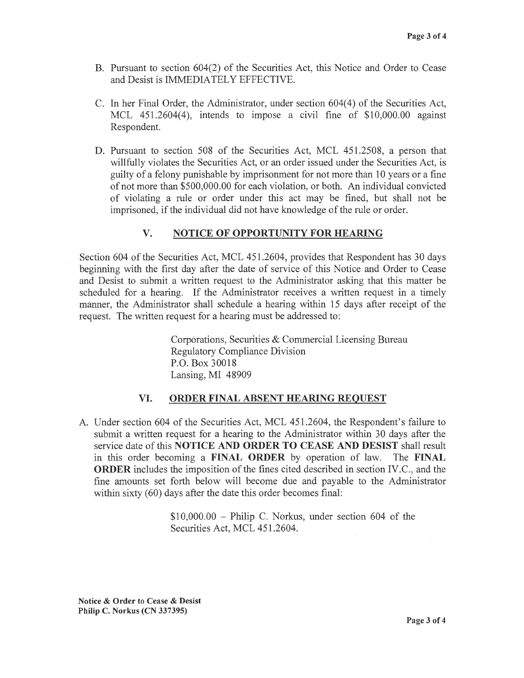- B. Pursuant to section 604(2) of the Securities Act, this Notice and Order to Cease and Desist is IMMEDIATELY EFFECTIVE.
- C. In her Final Order, the Administrator, under section 604(4) of the Securities Act, MCL 451.2604(4), intends to impose a civil fine of \$10,000.00 against Respondent.
- D. Pursuant to section 508 of the Securities Act, MCL 451.2508, a person that willfully violates the Securities Act, or an order issued under the Securities Act, is guilty of a felony punishable by imprisonment for not more than 10 years or a fine of not more than \$500,000.00 for each violation, or both. An individual convicted of violating a rule or order under this act may be fined, but shall not be imprisoned, if the individual did not have knowledge of the rule or order.

# **V. NOTICE OF OPPORTUNITY FOR HEARING**

Section 604 of the Securities Act, MCL 451 .2604, provides that Respondent has 30 days beginning with the first day after the date of service of this Notice and Order to Cease and Desist to submit a written request to the Administrator asking that this matter be scheduled for a hearing. If the Administrator receives a written request in a timely manner, the Administrator shall schedule a hearing within 15 days after receipt of the request. The written request for a hearing must be addressed to:

> Corporations, Securities & Commercial Licensing Bureau Regulatory Compliance Division P.O. Box 30018 Lansing, MI 48909

#### **VI. ORDER FINAL ABSENT HEARING REQUEST**

A. Under section 604 of the Securities Act, MCL 451.2604, the Respondent's failure to submit a written request for a hearing to the Administrator within 30 days after the service date of this **NOTICE AND ORDER TO CEASE AND DESIST** shall result in this order becoming a **FINAL ORDER** by operation of law. The **FINAL ORDER** includes the imposition of the fines cited described in section IV.C., and the fine amounts set forth below will become due and payable to the Administrator within sixty (60) days after the date this order becomes final:

> $$10,000.00 - Philip C. Norkus, under section 604 of the$ Securities Act, MCL 451.2604.